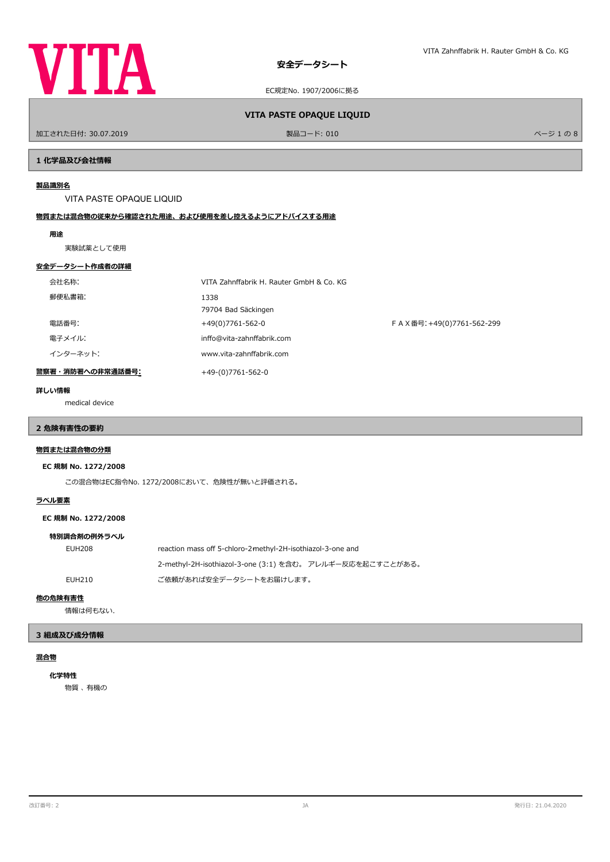

加工された日付: 30.07.2019 製品コード: 010 ページ 1 の 8

**VITA PASTE OPAQUE LIQUID**

# **1 化学品及び会社情報**

### **製品識別名**

VITA PASTE OPAQUE LIQUID

# **物質または混合物の従来から確認された用途、および使用を差し控えるようにアドバイスする用途**

### **用途**

実験試薬として使用

### **安全データシート作成者の詳細**

| 会社名称:            | VITA Zahnffabrik H. Rauter GmbH & Co. KG |                           |
|------------------|------------------------------------------|---------------------------|
| 郵便私書箱:           | 1338<br>79704 Bad Säckingen              |                           |
| 電話番号:            | +49(0)7761-562-0                         | FAX番号: +49(0)7761-562-299 |
| 電子メイル:           | inffo@vita-zahnffabrik.com               |                           |
| インターネット:         | www.vita-zahnffabrik.com                 |                           |
| 警察署・消防署への非常通話番号: | +49-(0)7761-562-0                        |                           |

#### **詳しい情報**

medical device

# **2 危険有害性の要約**

# **物質または混合物の分類**

### **EC 規制 No. 1272/2008**

この混合物はEC指令No. 1272/2008において、危険性が無いと評価される。

# **ラベル要素**

**EC 規制 No. 1272/2008**

### **特別調合剤の例外ラベル**

| EUH208 | reaction mass off 5-chloro-2-methyl-2H-isothiazol-3-one and |  |
|--------|-------------------------------------------------------------|--|
|        | 2-methyl-2H-isothiazol-3-one (3:1) を含む。 アレルギー反応を起こすことがある。   |  |
| EUH210 | ご依頼があれば安全データシートをお届けします。                                     |  |

### **他の危険有害性**

情報は何もない.

### **3 組成及び成分情報**

# **混合物**

**化学特性**

物質 、 有機の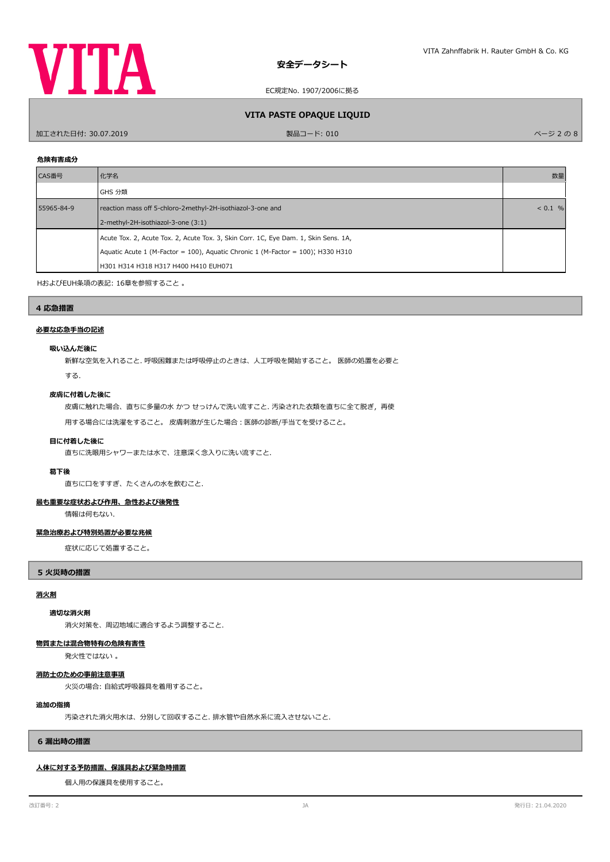

# **VITA PASTE OPAQUE LIQUID**

加工された日付: 30.07.2019 製品コード: 010 ページ 2 の 8

# **危険有害成分**

| CAS番号      | 化学名                                                                                 | 数量 |
|------------|-------------------------------------------------------------------------------------|----|
|            | GHS 分類                                                                              |    |
| 55965-84-9 | reaction mass off 5-chloro-2-methyl-2H-isothiazol-3-one and                         |    |
|            | 2-methyl-2H-isothiazol-3-one (3:1)                                                  |    |
|            | Acute Tox. 2, Acute Tox. 2, Acute Tox. 3, Skin Corr. 1C, Eye Dam. 1, Skin Sens. 1A, |    |
|            | Aquatic Acute 1 (M-Factor = 100), Aquatic Chronic 1 (M-Factor = 100); H330 H310     |    |
|            | H301 H314 H318 H317 H400 H410 EUH071                                                |    |

HおよびEUH条項の表記: 16章を参照すること 。

# **4 応急措置**

### **必要な応急手当の記述**

### **吸い込んだ後に**

新鮮な空気を入れること. 呼吸困難または呼吸停止のときは、人工呼吸を開始すること。 医師の処置を必要と

する.

# **皮膚に付着した後に**

皮膚に触れた場合、直ちに多量の水 かつ せっけんで洗い流すこと. 汚染された衣類を直ちに全て脱ぎ,再使

用する場合には洗濯をすること。 皮膚刺激が生じた場合:医師の診断/手当てを受けること。

# **目に付着した後に**

直ちに洗眼用シャワーまたは水で、注意深く念入りに洗い流すこと.

#### **葛下後**

直ちに口をすすぎ、たくさんの水を飲むこと.

### **最も重要な症状および作用、急性および後発性**

情報は何もない.

### **緊急治療および特別処置が必要な兆候**

症状に応じて処置すること。

**5 火災時の措置**

# **消火剤**

# **適切な消火剤**

消火対策を、周辺地域に適合するよう調整すること.

# **物質または混合物特有の危険有害性**

発火性ではない 。

# **消防士のための事前注意事項**

火災の場合: 自給式呼吸器具を着用すること。

# **追加の指摘**

汚染された消火用水は、分別して回収すること. 排水管や自然水系に流入させないこと.

### **6 漏出時の措置**

# **人体に対する予防措置、保護具および緊急時措置**

個人用の保護具を使用すること。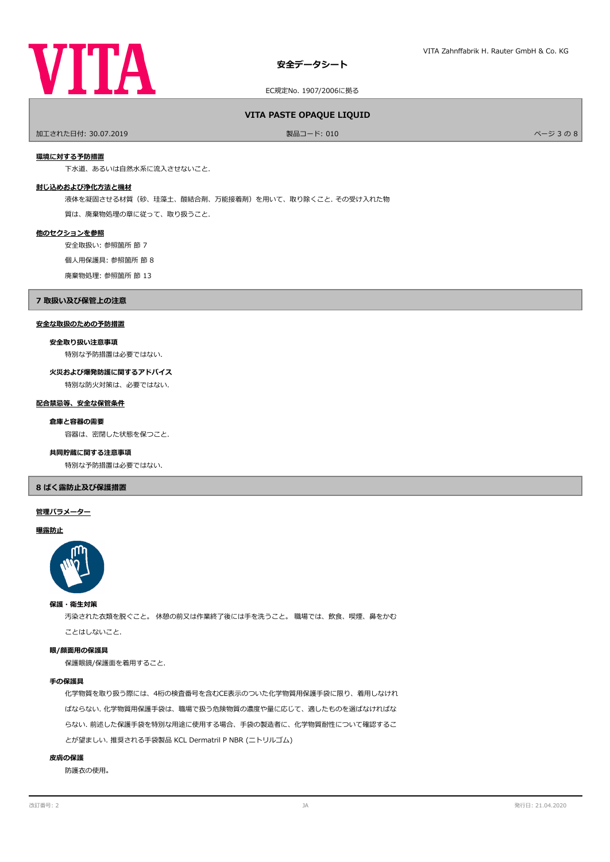

# EC規定No. 1907/2006に拠る

# **VITA PASTE OPAQUE LIQUID**

加工された日付: 30.07.2019 製品コード: 010 ページ 3 の 8

#### **環境に対する予防措置**

下水道、あるいは自然水系に流入させないこと.

### **封じ込めおよび浄化方法と機材**

液体を凝固させる材質(砂、珪藻土、酸結合剤、万能接着剤)を用いて、取り除くこと. その受け入れた物

質は、廃棄物処理の章に従って、取り扱うこと.

### **他のセクションを参照**

安全取扱い: 参照箇所 節 7

個人用保護具: 参照箇所 節 8

廃棄物処理: 参照箇所 節 13

#### **7 取扱い及び保管上の注意**

# **安全な取扱のための予防措置**

**安全取り扱い注意事項**

特別な予防措置は必要ではない.

**火災および爆発防護に関するアドバイス**

特別な防火対策は、必要ではない.

# **配合禁忌等、安全な保管条件**

#### **倉庫と容器の需要**

容器は、密閉した状態を保つこと.

#### **共同貯蔵に関する注意事項**

特別な予防措置は必要ではない.

# **8 ばく露防止及び保護措置**

#### **管理パラメーター**

#### **曝露防止**



### **保護・衛生対策**

汚染された衣類を脱ぐこと。 休憩の前又は作業終了後には手を洗うこと。 職場では、飲食、喫煙、鼻をかむ ことはしないこと.

#### **眼/顔面用の保護具**

保護眼鏡/保護面を着用すること.

### **手の保護具**

化学物質を取り扱う際には、4桁の検査番号を含むCE表示のついた化学物質用保護手袋に限り、着用しなけれ ばならない. 化学物質用保護手袋は、職場で扱う危険物質の濃度や量に応じて、適したものを選ばなければな らない. 前述した保護手袋を特別な用途に使用する場合、手袋の製造者に、化学物質耐性について確認するこ とが望ましい. 推奨される手袋製品 KCL Dermatril P NBR (ニトリルゴム)

### **皮膚の保護**

防護衣の使用。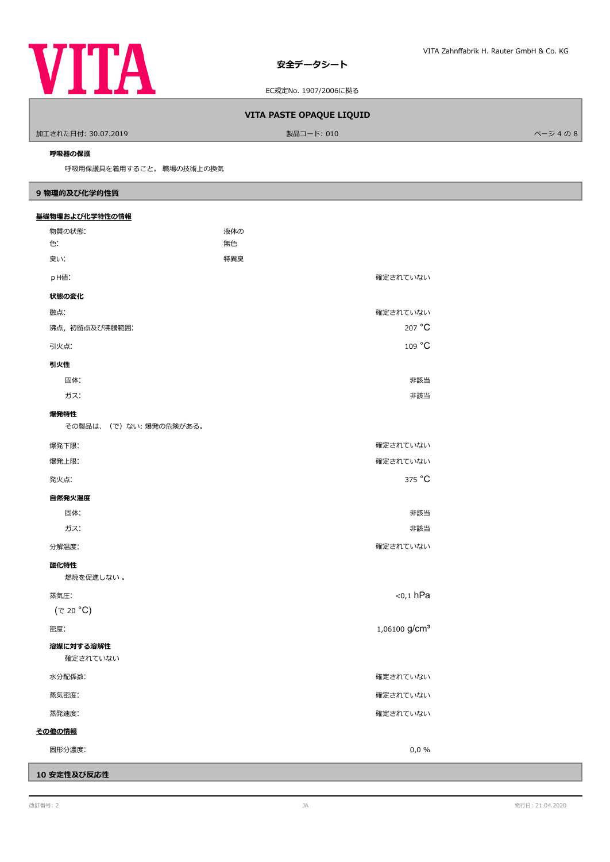

EC規定No. 1907/2006に拠る

# **VITA PASTE OPAQUE LIQUID**

加工された日付: 30.07.2019 製品コード: 010 ページ 4 の 8

### **呼吸器の保護**

呼吸用保護具を着用すること。 職場の技術上の換気

# **9 物理的及び化学的性質**

| 基礎物理および化学特性の情報        |                           |  |  |
|-----------------------|---------------------------|--|--|
| 物質の状態:                | 液体の                       |  |  |
| 色:                    | 無色                        |  |  |
| 臭い:                   | 特異臭                       |  |  |
| pH値:                  | 確定されていない                  |  |  |
| 状態の変化                 |                           |  |  |
| 融点:                   | 確定されていない                  |  |  |
| 沸点, 初留点及び沸騰範囲:        | 207 °C                    |  |  |
| 引火点:                  | 109 °C                    |  |  |
| 引火性                   |                           |  |  |
| 固体:                   | 非該当                       |  |  |
| ガス:                   | 非該当                       |  |  |
| 爆発特性                  |                           |  |  |
| その製品は、(で)ない:爆発の危険がある。 |                           |  |  |
| 爆発下限:                 | 確定されていない                  |  |  |
| 爆発上限:                 | 確定されていない                  |  |  |
| 発火点:                  | 375 °C                    |  |  |
| 自然発火温度                |                           |  |  |
| 固体:                   | 非該当                       |  |  |
| ガス:                   | 非該当                       |  |  |
| 分解温度:                 | 確定されていない                  |  |  |
| 酸化特性                  |                           |  |  |
| 燃焼を促進しない。             |                           |  |  |
| 蒸気圧:                  | $0,1$ hPa                 |  |  |
| (で 20 °C)             |                           |  |  |
| 密度:                   | 1,06100 g/cm <sup>3</sup> |  |  |
| 溶媒に対する溶解性             |                           |  |  |
| 確定されていない              |                           |  |  |
| 水分配係数:                | 確定されていない                  |  |  |
| 蒸気密度:                 | 確定されていない                  |  |  |
| 蒸発速度:                 | 確定されていない                  |  |  |
| その他の情報                |                           |  |  |
| 固形分濃度:                | 0,0,0                     |  |  |

**10 安定性及び反応性**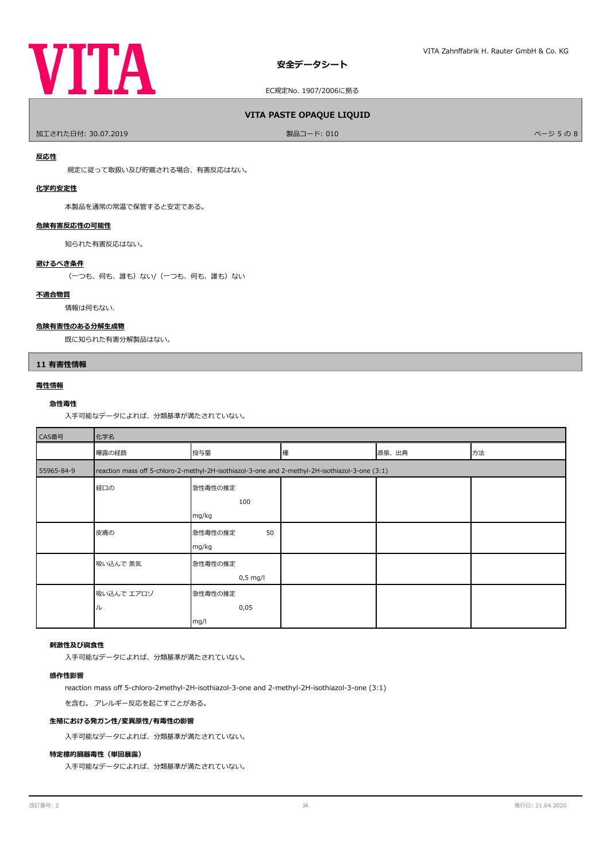

# **VITA PASTE OPAQUE LIQUID**

加工された日付: 30.07.2019 製品コード: 010 ページ 5 の 8

### **反応性**

規定に従って取扱い及び貯蔵される場合、有害反応はない。

# **化学的安定性**

本製品を通常の常温で保管すると安定である。

# **危険有害反応性の可能性**

知られた有害反応はない。

### **避けるべき条件**

(一つも、何も、誰も)ない/(一つも、何も、誰も)ない

# **不適合物質**

情報は何もない.

# **危険有害性のある分解生成物**

既に知られた有害分解製品はない。

# **11 有害性情報**

# **毒性情報**

# **急性毒性**

入手可能なデータによれば、分類基準が満たされていない。

| CAS番号      | 化学名                                                                                            |               |   |       |    |
|------------|------------------------------------------------------------------------------------------------|---------------|---|-------|----|
|            | 曝露の経路                                                                                          | 投与量           | 種 | 源泉、出典 | 方法 |
| 55965-84-9 | reaction mass off 5-chloro-2-methyl-2H-isothiazol-3-one and 2-methyl-2H-isothiazol-3-one (3:1) |               |   |       |    |
|            | 経口の                                                                                            | 急性毒性の推定       |   |       |    |
|            |                                                                                                | 100           |   |       |    |
|            |                                                                                                | mg/kg         |   |       |    |
|            | 皮膚の                                                                                            | 急性毒性の推定<br>50 |   |       |    |
|            |                                                                                                | mg/kg         |   |       |    |
|            | 吸い込んで 蒸気                                                                                       | 急性毒性の推定       |   |       |    |
|            |                                                                                                | $0,5$ mg/l    |   |       |    |
|            | 吸い込んで エアロゾ                                                                                     | 急性毒性の推定       |   |       |    |
|            | ル                                                                                              | 0,05          |   |       |    |
|            |                                                                                                | mg/l          |   |       |    |

### **刺激性及び腐食性**

入手可能なデータによれば、分類基準が満たされていない。

### **感作性影響**

reaction mass off 5-chloro-2-methyl-2H-isothiazol-3-one and 2-methyl-2H-isothiazol-3-one (3:1)

を含む。 アレルギー反応を起こすことがある。

# **生殖における発ガン性/変異原性/有毒性の影響**

入手可能なデータによれば、分類基準が満たされていない。

#### **特定標的臓器毒性(単回暴露)**

入手可能なデータによれば、分類基準が満たされていない。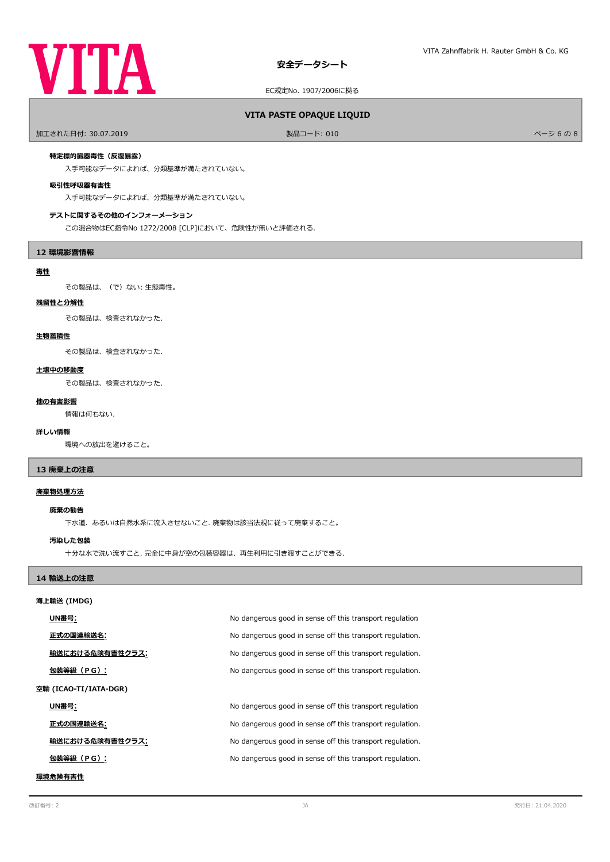

# **VITA PASTE OPAQUE LIQUID**

加工された日付: 30.07.2019 製品コード: 010 ページ 6 の 8

### **特定標的臓器毒性(反復暴露)**

入手可能なデータによれば、分類基準が満たされていない。

# **吸引性呼吸器有害性**

入手可能なデータによれば、分類基準が満たされていない。

### **テストに関するその他のインフォーメーション**

この混合物はEC指令No 1272/2008 [CLP]において、危険性が無いと評価される.

### **12 環境影響情報**

# **毒性**

その製品は、(で)ない: 生態毒性。

### **残留性と分解性**

その製品は、検査されなかった.

# **生物蓄積性**

その製品は、検査されなかった.

### **土壌中の移動度**

その製品は、検査されなかった.

### **他の有害影響**

情報は何もない.

### **詳しい情報**

環境への放出を避けること。

# **13 廃棄上の注意**

# **廃棄物処理方法**

#### **廃棄の勧告**

下水道、あるいは自然水系に流入させないこと. 廃棄物は該当法規に従って廃棄すること。

### **汚染した包装**

十分な水で洗い流すこと. 完全に中身が空の包装容器は、再生利用に引き渡すことができる.

# **14 輸送上の注意**

### **海上輸送 (IMDG)**

| UN番号:                 | No dangerous good in sense off this transport regulation  |  |
|-----------------------|-----------------------------------------------------------|--|
| 正式の国連輸送名:             | No dangerous good in sense off this transport regulation. |  |
| 輸送における危険有害性クラス:       | No dangerous good in sense off this transport regulation. |  |
| 包装等級(PG):             | No dangerous good in sense off this transport regulation. |  |
| 空輸 (ICAO-TI/IATA-DGR) |                                                           |  |
| UN番号:                 | No dangerous good in sense off this transport regulation  |  |
| 正式の国連輸送名:             | No dangerous good in sense off this transport regulation. |  |
| 輸送における危険有害性クラス:       | No dangerous good in sense off this transport regulation. |  |
| 包装等級(PG):             | No dangerous good in sense off this transport regulation. |  |
|                       |                                                           |  |

# **環境危険有害性**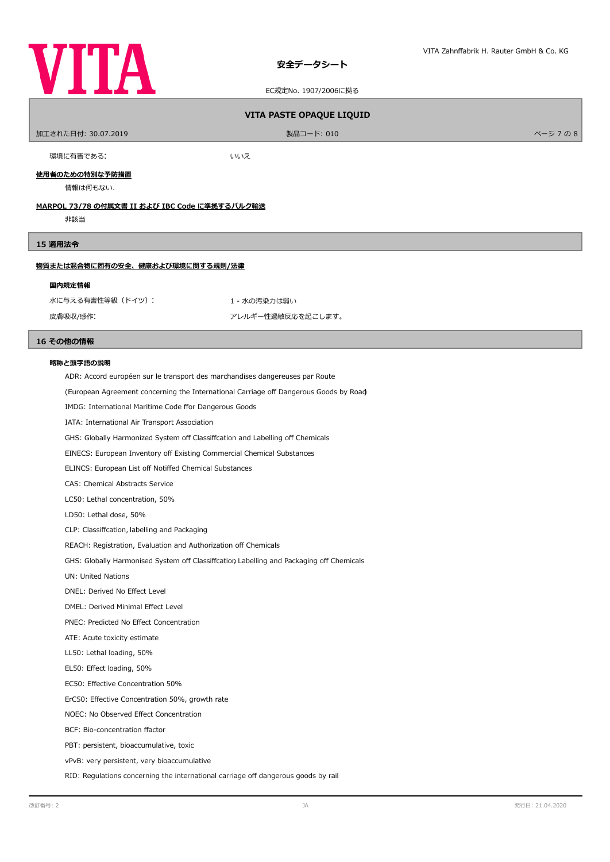

EC規定No. 1907/2006に拠る

# **VITA PASTE OPAQUE LIQUID**

| 加工された日付: 30.07.2019 | 製品コード: 010 | ページ 7 の 8 |
|---------------------|------------|-----------|
|                     |            |           |

環境に有害である: まんない しんけい しんいえい

**使用者のための特別な予防措置**

情報は何もない.

# **MARPOL 73/78 の付属文書 II および IBC Code に準拠するバルク輸送**

非該当

### **15 適用法令**

# **物質または混合物に固有の安全、健康および環境に関する規則/法律**

#### **国内規定情報**

水に与える有害性等級 (ドイツ): カンチャング キャンパ 1 - 水の汚染力は弱い 皮膚吸収/感作: カンディスク アレルギー性過敏反応を起こします。

### **16 その他の情報**

#### **略称と頭字語の説明**

ADR: Accord européen sur le transport des marchandises dangereuses par Route

(European Agreement concerning the International Carriage of Dangerous Goods by Road)

IMDG: International Maritime Code ffor Dangerous Goods

IATA: International Air Transport Association

GHS: Globally Harmonized System off Classiffcation and Labelling off Chemicals

EINECS: European Inventory off Existing Commercial Chemical Substances

ELINCS: European List off Notiffed Chemical Substances

CAS: Chemical Abstracts Service

LC50: Lethal concentration, 50%

LD50: Lethal dose, 50%

CLP: Classifcation, labelling and Packaging

REACH: Registration, Evaluation and Authorization off Chemicals

GHS: Globally Harmonised System off Classiffcation Labelling and Packaging off Chemicals

UN: United Nations

DNEL: Derived No Efect Level

DMEL: Derived Minimal Efect Level

PNEC: Predicted No Efect Concentration

ATE: Acute toxicity estimate

LL50: Lethal loading, 50%

EL50: Efect loading, 50%

EC50: Efective Concentration 50%

ErC50: Efective Concentration 50%, growth rate

NOEC: No Observed Efect Concentration

BCF: Bio-concentration factor

PBT: persistent, bioaccumulative, toxic

vPvB: very persistent, very bioaccumulative

RID: Regulations concerning the international carriage off dangerous goods by rail